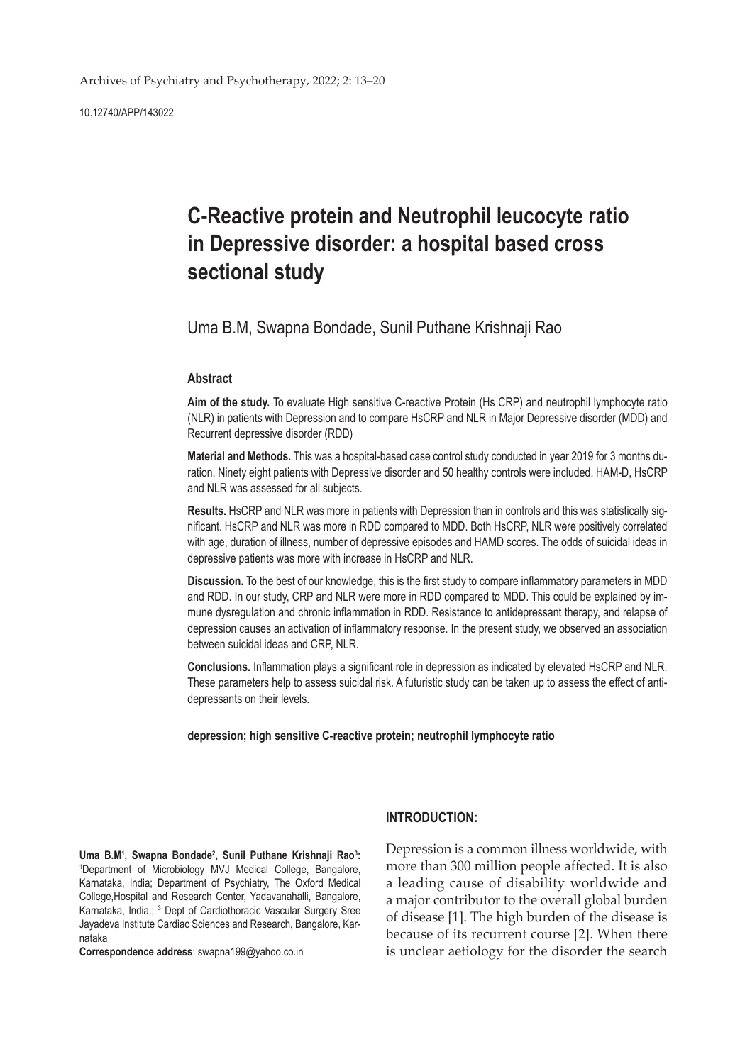10.12740/APP/143022

# **C-Reactive protein and Neutrophil leucocyte ratio in Depressive disorder: a hospital based cross sectional study**

Uma B.M, Swapna Bondade, Sunil Puthane Krishnaji Rao

## **Abstract**

**Aim of the study.** To evaluate High sensitive C-reactive Protein (Hs CRP) and neutrophil lymphocyte ratio (NLR) in patients with Depression and to compare HsCRP and NLR in Major Depressive disorder (MDD) and Recurrent depressive disorder (RDD)

**Material and Methods.** This was a hospital-based case control study conducted in year 2019 for 3 months duration. Ninety eight patients with Depressive disorder and 50 healthy controls were included. HAM-D, HsCRP and NLR was assessed for all subjects.

**Results.** HsCRP and NLR was more in patients with Depression than in controls and this was statistically significant. HsCRP and NLR was more in RDD compared to MDD. Both HsCRP, NLR were positively correlated with age, duration of illness, number of depressive episodes and HAMD scores. The odds of suicidal ideas in depressive patients was more with increase in HsCRP and NLR.

**Discussion.** To the best of our knowledge, this is the first study to compare inflammatory parameters in MDD and RDD. In our study, CRP and NLR were more in RDD compared to MDD. This could be explained by immune dysregulation and chronic inflammation in RDD. Resistance to antidepressant therapy, and relapse of depression causes an activation of inflammatory response. In the present study, we observed an association between suicidal ideas and CRP, NLR.

**Conclusions.** Inflammation plays a significant role in depression as indicated by elevated HsCRP and NLR. These parameters help to assess suicidal risk. A futuristic study can be taken up to assess the effect of antidepressants on their levels.

**depression; high sensitive C-reactive protein; neutrophil lymphocyte ratio**

Uma B.M<sup>1</sup>, Swapna Bondade<sup>2</sup>, Sunil Puthane Krishnaji Rao<sup>3</sup>: 1 Department of Microbiology MVJ Medical College, Bangalore, Karnataka, India; Department of Psychiatry, The Oxford Medical College,Hospital and Research Center, Yadavanahalli, Bangalore, Karnataka, India.; <sup>3</sup> Dept of Cardiothoracic Vascular Surgery Sree Jayadeva Institute Cardiac Sciences and Research, Bangalore, Karnataka

**Correspondence address**: swapna199@yahoo.co.in

## **INTRODUCTION:**

Depression is a common illness worldwide, with more than 300 million people affected. It is also a leading cause of disability worldwide and a major contributor to the overall global burden of disease [1]. The high burden of the disease is because of its recurrent course [2]. When there is unclear aetiology for the disorder the search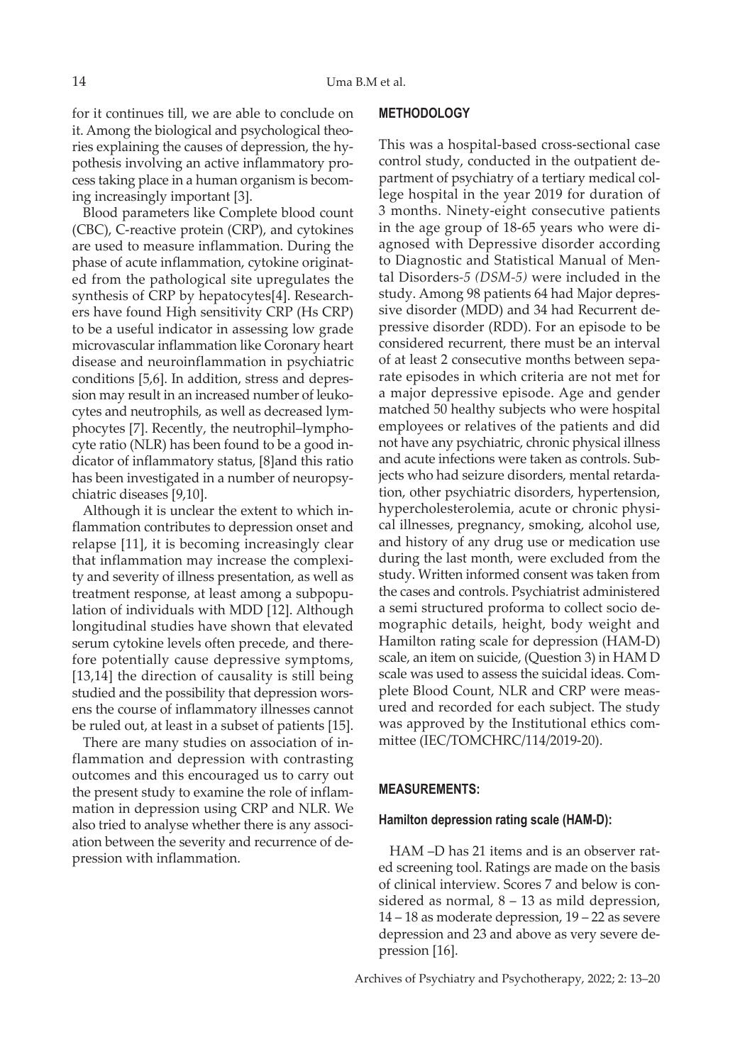for it continues till, we are able to conclude on it. Among the biological and psychological theories explaining the causes of depression, the hypothesis involving an active inflammatory process taking place in a human organism is becoming increasingly important [3].

Blood parameters like Complete blood count (CBC), C-reactive protein (CRP), and cytokines are used to measure inflammation. During the phase of acute inflammation, cytokine originated from the pathological site upregulates the synthesis of CRP by hepatocytes[4]. Researchers have found High sensitivity CRP (Hs CRP) to be a useful indicator in assessing low grade microvascular inflammation like Coronary heart disease and neuroinflammation in psychiatric conditions [5,6]. In addition, stress and depression may result in an increased number of leukocytes and neutrophils, as well as decreased lymphocytes [7]. Recently, the neutrophil–lymphocyte ratio (NLR) has been found to be a good indicator of inflammatory status, [8]and this ratio has been investigated in a number of neuropsychiatric diseases [9,10].

Although it is unclear the extent to which inflammation contributes to depression onset and relapse [11], it is becoming increasingly clear that inflammation may increase the complexity and severity of illness presentation, as well as treatment response, at least among a subpopulation of individuals with MDD [12]. Although longitudinal studies have shown that elevated serum cytokine levels often precede, and therefore potentially cause depressive symptoms, [13,14] the direction of causality is still being studied and the possibility that depression worsens the course of inflammatory illnesses cannot be ruled out, at least in a subset of patients [15].

There are many studies on association of inflammation and depression with contrasting outcomes and this encouraged us to carry out the present study to examine the role of inflammation in depression using CRP and NLR. We also tried to analyse whether there is any association between the severity and recurrence of depression with inflammation.

#### **METHODOLOGY**

This was a hospital-based cross-sectional case control study, conducted in the outpatient department of psychiatry of a tertiary medical college hospital in the year 2019 for duration of 3 months. Ninety-eight consecutive patients in the age group of 18-65 years who were diagnosed with Depressive disorder according to Diagnostic and Statistical Manual of Mental Disorders*-5 (DSM-5)* were included in the study. Among 98 patients 64 had Major depressive disorder (MDD) and 34 had Recurrent depressive disorder (RDD). For an episode to be considered recurrent, there must be an interval of at least 2 consecutive months between separate episodes in which criteria are not met for a major depressive episode. Age and gender matched 50 healthy subjects who were hospital employees or relatives of the patients and did not have any psychiatric, chronic physical illness and acute infections were taken as controls. Subjects who had seizure disorders, mental retardation, other psychiatric disorders, hypertension, hypercholesterolemia, acute or chronic physical illnesses, pregnancy, smoking, alcohol use, and history of any drug use or medication use during the last month, were excluded from the study. Written informed consent was taken from the cases and controls. Psychiatrist administered a semi structured proforma to collect socio demographic details, height, body weight and Hamilton rating scale for depression (HAM-D) scale, an item on suicide, (Question 3) in HAM D scale was used to assess the suicidal ideas. Complete Blood Count, NLR and CRP were measured and recorded for each subject. The study was approved by the Institutional ethics committee (IEC/TOMCHRC/114/2019-20).

#### **MEASUREMENTS:**

## **Hamilton depression rating scale (HAM-D):**

HAM –D has 21 items and is an observer rated screening tool. Ratings are made on the basis of clinical interview. Scores 7 and below is considered as normal, 8 – 13 as mild depression, 14 – 18 as moderate depression, 19 – 22 as severe depression and 23 and above as very severe depression [16].

Archives of Psychiatry and Psychotherapy, 2022; 2: 13–20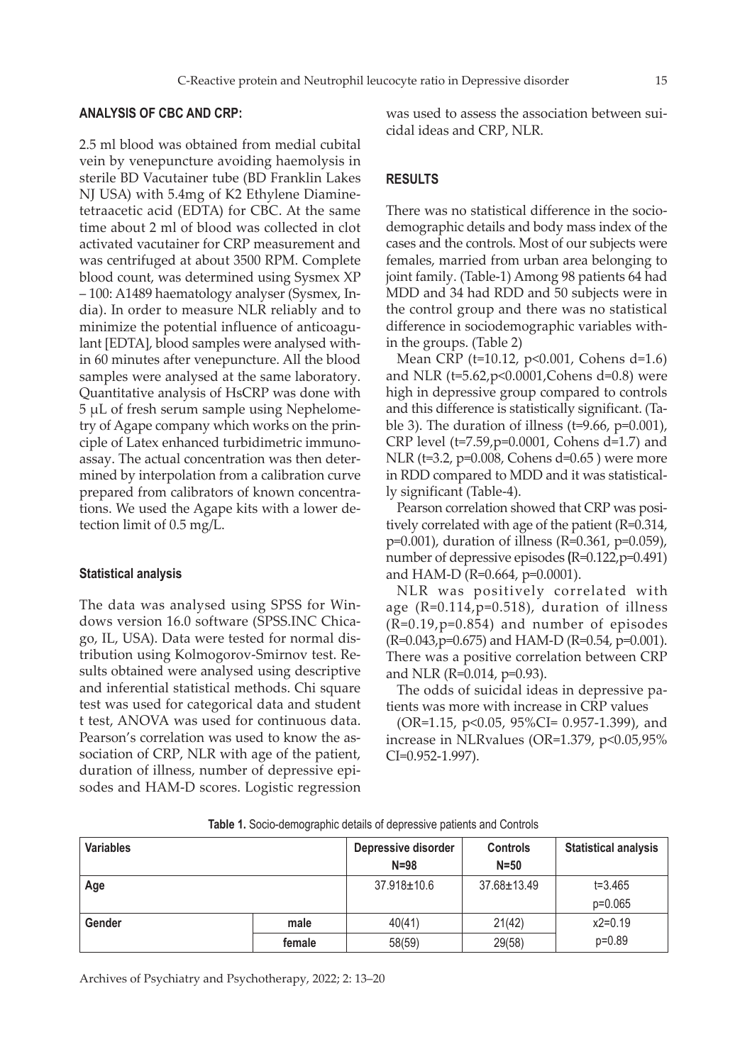## **ANALYSIS OF CBC AND CRP:**

2.5 ml blood was obtained from medial cubital vein by venepuncture avoiding haemolysis in sterile BD Vacutainer tube (BD Franklin Lakes NJ USA) with 5.4mg of K2 Ethylene Diaminetetraacetic acid (EDTA) for CBC. At the same time about 2 ml of blood was collected in clot activated vacutainer for CRP measurement and was centrifuged at about 3500 RPM. Complete blood count, was determined using Sysmex XP – 100: A1489 haematology analyser (Sysmex, India). In order to measure NLR reliably and to minimize the potential influence of anticoagulant [EDTA], blood samples were analysed within 60 minutes after venepuncture. All the blood samples were analysed at the same laboratory. Quantitative analysis of HsCRP was done with 5 µL of fresh serum sample using Nephelometry of Agape company which works on the principle of Latex enhanced turbidimetric immunoassay. The actual concentration was then determined by interpolation from a calibration curve prepared from calibrators of known concentrations. We used the Agape kits with a lower detection limit of 0.5 mg/L.

#### **Statistical analysis**

The data was analysed using SPSS for Windows version 16.0 software (SPSS.INC Chicago, IL, USA). Data were tested for normal distribution using Kolmogorov-Smirnov test. Results obtained were analysed using descriptive and inferential statistical methods. Chi square test was used for categorical data and student t test, ANOVA was used for continuous data. Pearson's correlation was used to know the association of CRP, NLR with age of the patient, duration of illness, number of depressive episodes and HAM-D scores. Logistic regression

was used to assess the association between suicidal ideas and CRP, NLR.

## **RESULTS**

There was no statistical difference in the sociodemographic details and body mass index of the cases and the controls. Most of our subjects were females, married from urban area belonging to joint family. (Table-1) Among 98 patients 64 had MDD and 34 had RDD and 50 subjects were in the control group and there was no statistical difference in sociodemographic variables within the groups. (Table 2)

Mean CRP (t=10.12, p<0.001, Cohens d=1.6) and NLR (t=5.62,p<0.0001,Cohens d=0.8) were high in depressive group compared to controls and this difference is statistically significant. (Table 3). The duration of illness ( $t=9.66$ ,  $p=0.001$ ), CRP level (t=7.59,p=0.0001, Cohens d=1.7) and NLR (t=3.2, p=0.008, Cohens d=0.65 ) were more in RDD compared to MDD and it was statistically significant (Table-4).

Pearson correlation showed that CRP was positively correlated with age of the patient (R=0.314, p=0.001), duration of illness (R=0.361, p=0.059), number of depressive episodes **(**R=0.122,p=0.491) and HAM-D (R=0.664, p=0.0001).

NLR was positively correlated with age (R=0.114,p=0.518), duration of illness (R=0.19,p=0.854) and number of episodes (R=0.043,p=0.675) and HAM-D (R=0.54, p=0.001). There was a positive correlation between CRP and NLR (R=0.014, p=0.93).

The odds of suicidal ideas in depressive patients was more with increase in CRP values

(OR=1.15, p<0.05, 95%CI= 0.957-1.399), and increase in NLRvalues (OR=1.379, p<0.05,95% CI=0.952-1.997).

| <b>Variables</b> |        | Depressive disorder<br>$N = 98$ | <b>Controls</b><br>$N = 50$ | <b>Statistical analysis</b> |
|------------------|--------|---------------------------------|-----------------------------|-----------------------------|
| Age              |        | 37.918±10.6                     | 37.68±13.49                 | $t = 3.465$<br>$p=0.065$    |
| Gender           | male   | 40(41)                          | 21(42)                      | $x2=0.19$                   |
|                  | female | 58(59)                          | 29(58)                      | $p=0.89$                    |

**Table 1.** Socio-demographic details of depressive patients and Controls

Archives of Psychiatry and Psychotherapy, 2022; 2: 13–20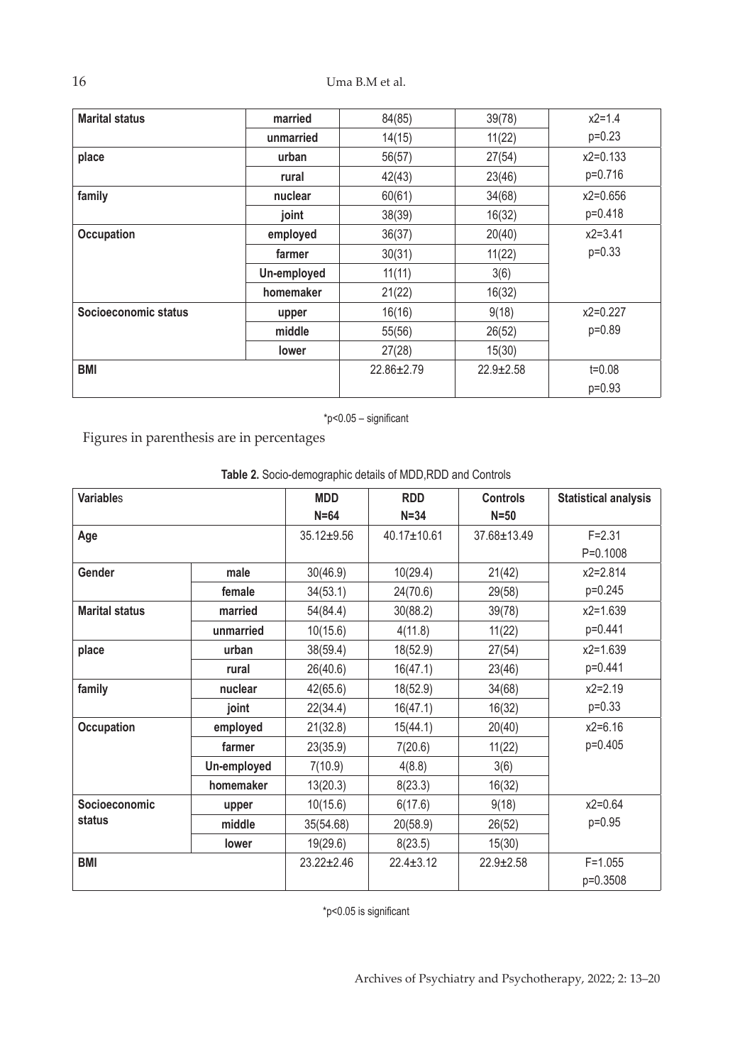16 Uma B.M et al.

| <b>Marital status</b> | married      | 84(85)           | 39(78)          | $x2=1.4$    |
|-----------------------|--------------|------------------|-----------------|-------------|
|                       | unmarried    | 14(15)           | 11(22)          | $p=0.23$    |
| place                 | urban        | 56(57)           | 27(54)          | $x2=0.133$  |
|                       | rural        | 42(43)           | 23(46)          | p=0.716     |
| family                | nuclear      | 60(61)           | 34(68)          | $x2=0.656$  |
|                       | joint        | 38(39)           | 16(32)          | p=0.418     |
| Occupation            | employed     | 36(37)           | 20(40)          | $x2 = 3.41$ |
|                       | farmer       | 30(31)           | 11(22)          | $p=0.33$    |
|                       | Un-employed  | 11(11)           | 3(6)            |             |
|                       | homemaker    | 21(22)           | 16(32)          |             |
| Socioeconomic status  | upper        | 16(16)           | 9(18)           | $x2=0.227$  |
|                       | middle       | 55(56)           | 26(52)          | $p=0.89$    |
|                       | <b>lower</b> | 27(28)           | 15(30)          |             |
| <b>BMI</b>            |              | $22.86 \pm 2.79$ | $22.9 \pm 2.58$ | $t = 0.08$  |
|                       |              |                  |                 | $p=0.93$    |

\*p<0.05 – significant

Figures in parenthesis are in percentages

| <b>Variables</b>      |             | <b>MDD</b>       | <b>RDD</b>      | <b>Controls</b> | <b>Statistical analysis</b> |
|-----------------------|-------------|------------------|-----------------|-----------------|-----------------------------|
|                       |             | $N = 64$         | $N = 34$        | $N=50$          |                             |
| Age                   |             | 35.12±9.56       | 40.17±10.61     | 37.68±13.49     | $F = 2.31$                  |
|                       |             |                  |                 |                 | $P=0.1008$                  |
| Gender                | male        | 30(46.9)         | 10(29.4)        | 21(42)          | $x2 = 2.814$                |
|                       | female      | 34(53.1)         | 24(70.6)        | 29(58)          | p=0.245                     |
| <b>Marital status</b> | married     | 54(84.4)         | 30(88.2)        | 39(78)          | $x2 = 1.639$                |
|                       | unmarried   | 10(15.6)         | 4(11.8)         | 11(22)          | p=0.441                     |
| place                 | urban       | 38(59.4)         | 18(52.9)        | 27(54)          | $x2 = 1.639$                |
|                       | rural       | 26(40.6)         | 16(47.1)        | 23(46)          | p=0.441                     |
| family                | nuclear     | 42(65.6)         | 18(52.9)        | 34(68)          | $x2=2.19$                   |
|                       | joint       | 22(34.4)         | 16(47.1)        | 16(32)          | $p=0.33$                    |
| <b>Occupation</b>     | employed    | 21(32.8)         | 15(44.1)        | 20(40)          | $x2=6.16$                   |
|                       | farmer      | 23(35.9)         | 7(20.6)         | 11(22)          | p=0.405                     |
|                       | Un-employed | 7(10.9)          | 4(8.8)          | 3(6)            |                             |
|                       | homemaker   | 13(20.3)         | 8(23.3)         | 16(32)          |                             |
| Socioeconomic         | upper       | 10(15.6)         | 6(17.6)         | 9(18)           | $x2=0.64$                   |
| status                | middle      | 35(54.68)        | 20(58.9)        | 26(52)          | $p=0.95$                    |
|                       | lower       | 19(29.6)         | 8(23.5)         | 15(30)          |                             |
| <b>BMI</b>            |             | $23.22 \pm 2.46$ | $22.4 \pm 3.12$ | $22.9 \pm 2.58$ | $F = 1.055$<br>p=0.3508     |

**Table 2.** Socio-demographic details of MDD,RDD and Controls

\*p<0.05 is significant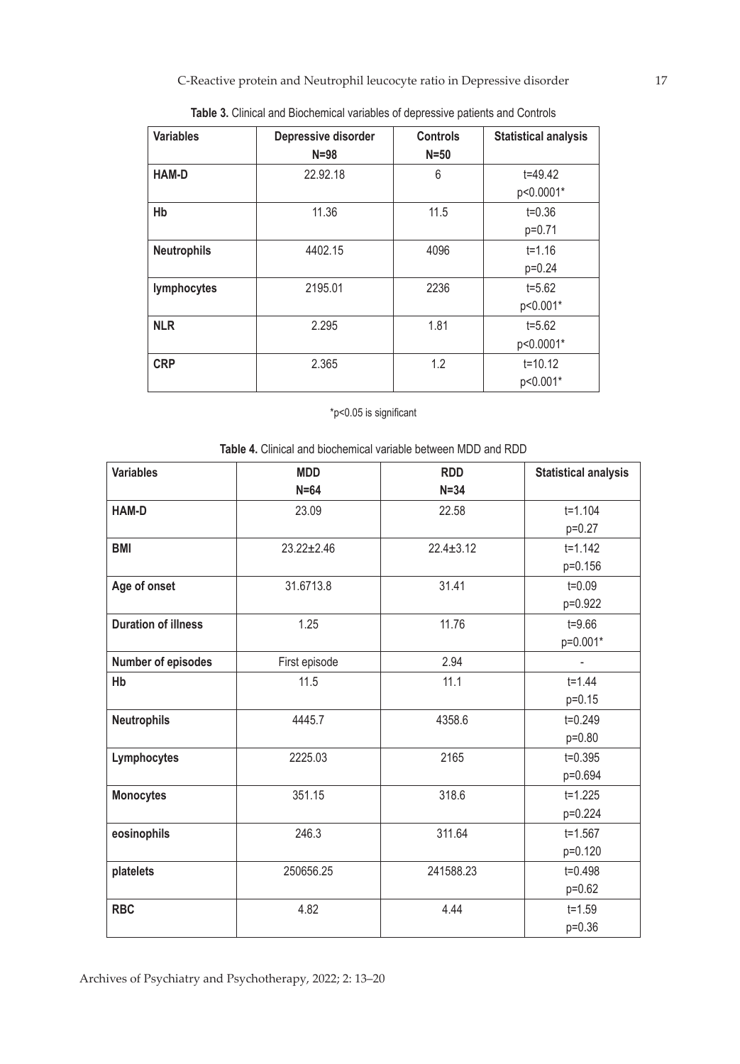C-Reactive protein and Neutrophil leucocyte ratio in Depressive disorder 17

| <b>Variables</b>   | Depressive disorder<br>$N = 98$ | <b>Controls</b><br>$N=50$ | <b>Statistical analysis</b> |
|--------------------|---------------------------------|---------------------------|-----------------------------|
| <b>HAM-D</b>       | 22.92.18                        | 6                         | $t = 49.42$                 |
|                    |                                 |                           | p<0.0001*                   |
| Hb                 | 11.36                           | 11.5                      | $t = 0.36$                  |
|                    |                                 |                           | $p=0.71$                    |
| <b>Neutrophils</b> | 4402.15                         | 4096                      | $t = 1.16$                  |
|                    |                                 |                           | $p=0.24$                    |
| lymphocytes        | 2195.01                         | 2236                      | $t = 5.62$                  |
|                    |                                 |                           | p<0.001*                    |
| <b>NLR</b>         | 2.295                           | 1.81                      | $t = 5.62$                  |
|                    |                                 |                           | p<0.0001*                   |
| <b>CRP</b>         | 2.365                           | 1.2                       | $t = 10.12$                 |
|                    |                                 |                           | p<0.001*                    |

**Table 3.** Clinical and Biochemical variables of depressive patients and Controls

# \*p<0.05 is significant

**Table 4.** Clinical and biochemical variable between MDD and RDD

| <b>Variables</b>           | <b>MDD</b>       | <b>RDD</b>      | <b>Statistical analysis</b> |
|----------------------------|------------------|-----------------|-----------------------------|
|                            | $N=64$           | $N = 34$        |                             |
| <b>HAM-D</b>               | 23.09            | 22.58           | $t = 1.104$                 |
|                            |                  |                 | $p=0.27$                    |
| <b>BMI</b>                 | $23.22 \pm 2.46$ | $22.4 \pm 3.12$ | $t = 1.142$                 |
|                            |                  |                 | p=0.156                     |
| Age of onset               | 31.6713.8        | 31.41           | $t = 0.09$                  |
|                            |                  |                 | p=0.922                     |
| <b>Duration of illness</b> | 1.25             | 11.76           | $t = 9.66$                  |
|                            |                  |                 | p=0.001*                    |
| Number of episodes         | First episode    | 2.94            |                             |
| Hb                         | 11.5             | 11.1            | $t = 1.44$                  |
|                            |                  |                 | $p=0.15$                    |
| <b>Neutrophils</b>         | 4445.7           | 4358.6          | $t = 0.249$                 |
|                            |                  |                 | p=0.80                      |
| Lymphocytes                | 2225.03          | 2165            | $t = 0.395$                 |
|                            |                  |                 | p=0.694                     |
| <b>Monocytes</b>           | 351.15           | 318.6           | $t = 1.225$                 |
|                            |                  |                 | p=0.224                     |
| eosinophils                | 246.3            | 311.64          | $t = 1.567$                 |
|                            |                  |                 | p=0.120                     |
| platelets                  | 250656.25        | 241588.23       | $t = 0.498$                 |
|                            |                  |                 | p=0.62                      |
| <b>RBC</b>                 | 4.82             | 4.44            | $t = 1.59$                  |
|                            |                  |                 | $p=0.36$                    |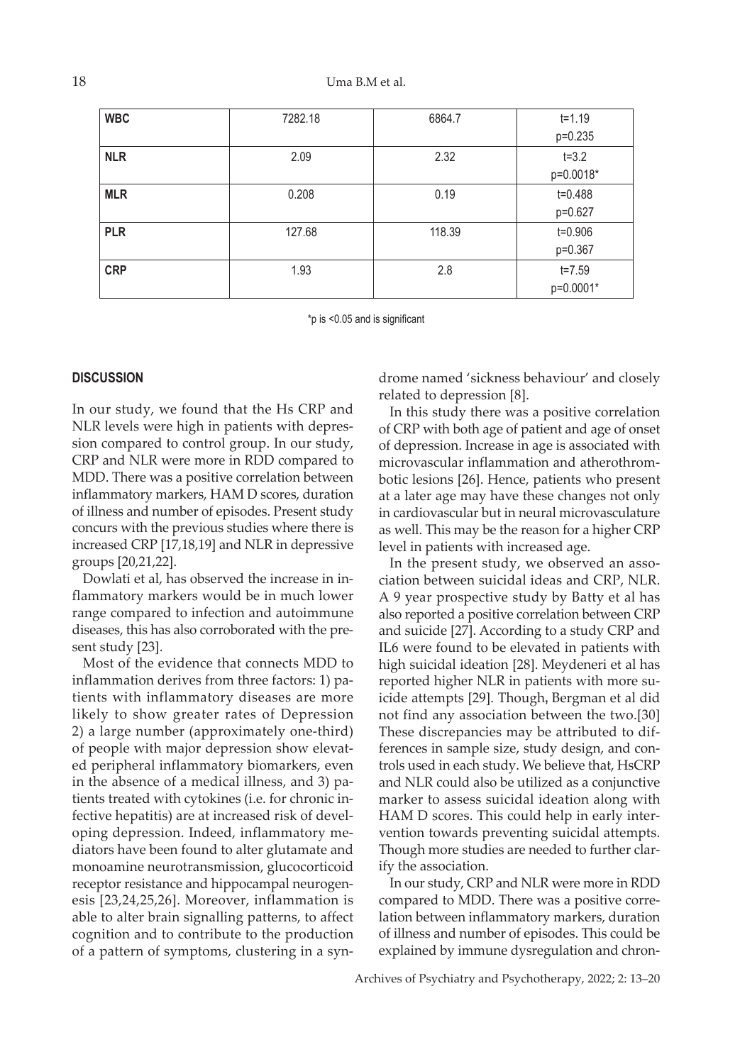| <b>WBC</b> | 7282.18 | 6864.7 | $t = 1.19$  |
|------------|---------|--------|-------------|
|            |         |        | p=0.235     |
| <b>NLR</b> | 2.09    | 2.32   | $t = 3.2$   |
|            |         |        | p=0.0018*   |
| <b>MLR</b> | 0.208   | 0.19   | $t = 0.488$ |
|            |         |        | p=0.627     |
| <b>PLR</b> | 127.68  | 118.39 | $t = 0.906$ |
|            |         |        | p=0.367     |
| <b>CRP</b> | 1.93    | 2.8    | $t = 7.59$  |
|            |         |        | p=0.0001*   |

\*p is <0.05 and is significant

#### **DISCUSSION**

In our study, we found that the Hs CRP and NLR levels were high in patients with depression compared to control group. In our study, CRP and NLR were more in RDD compared to MDD. There was a positive correlation between inflammatory markers, HAM D scores, duration of illness and number of episodes. Present study concurs with the previous studies where there is increased CRP [17,18,19] and NLR in depressive groups [20,21,22].

Dowlati et al, has observed the increase in inflammatory markers would be in much lower range compared to infection and autoimmune diseases, this has also corroborated with the present study [23].

Most of the evidence that connects MDD to inflammation derives from three factors: 1) patients with inflammatory diseases are more likely to show greater rates of Depression 2) a large number (approximately one-third) of people with major depression show elevated peripheral inflammatory biomarkers, even in the absence of a medical illness, and 3) patients treated with cytokines (i.e. for chronic infective hepatitis) are at increased risk of developing depression. Indeed, inflammatory mediators have been found to alter glutamate and monoamine neurotransmission, glucocorticoid receptor resistance and hippocampal neurogenesis [23,24,25,26]. Moreover, inflammation is able to alter brain signalling patterns, to affect cognition and to contribute to the production of a pattern of symptoms, clustering in a syndrome named 'sickness behaviour' and closely related to depression [8].

In this study there was a positive correlation of CRP with both age of patient and age of onset of depression. Increase in age is associated with microvascular inflammation and atherothrombotic lesions [26]. Hence, patients who present at a later age may have these changes not only in cardiovascular but in neural microvasculature as well. This may be the reason for a higher CRP level in patients with increased age.

In the present study, we observed an association between suicidal ideas and CRP, NLR. A 9 year prospective study by Batty et al has also reported a positive correlation between CRP and suicide [27]. According to a study CRP and IL6 were found to be elevated in patients with high suicidal ideation [28]. Meydeneri et al has reported higher NLR in patients with more suicide attempts [29]. Though**,** Bergman et al did not find any association between the two.[30] These discrepancies may be attributed to differences in sample size, study design, and controls used in each study. We believe that, HsCRP and NLR could also be utilized as a conjunctive marker to assess suicidal ideation along with HAM D scores. This could help in early intervention towards preventing suicidal attempts. Though more studies are needed to further clarify the association.

In our study, CRP and NLR were more in RDD compared to MDD. There was a positive correlation between inflammatory markers, duration of illness and number of episodes. This could be explained by immune dysregulation and chron-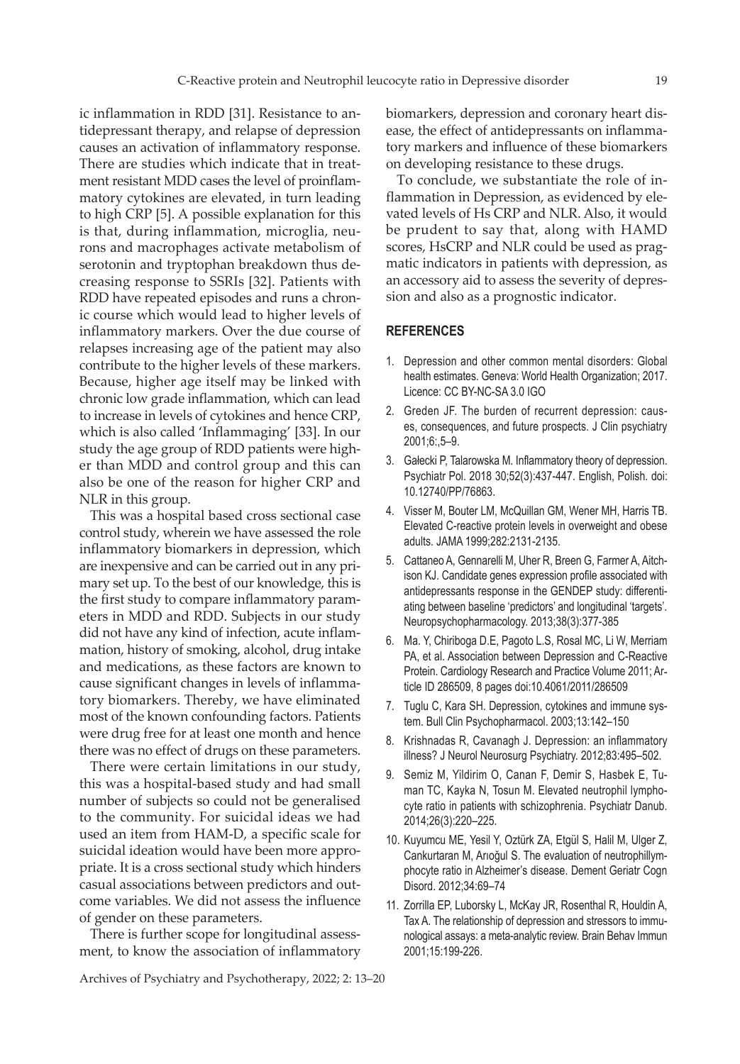ic inflammation in RDD [31]. Resistance to antidepressant therapy, and relapse of depression causes an activation of inflammatory response. There are studies which indicate that in treatment resistant MDD cases the level of proinflammatory cytokines are elevated, in turn leading to high CRP [5]. A possible explanation for this is that, during inflammation, microglia, neurons and macrophages activate metabolism of serotonin and tryptophan breakdown thus decreasing response to SSRIs [32]. Patients with RDD have repeated episodes and runs a chronic course which would lead to higher levels of inflammatory markers. Over the due course of relapses increasing age of the patient may also contribute to the higher levels of these markers. Because, higher age itself may be linked with chronic low grade inflammation, which can lead to increase in levels of cytokines and hence CRP, which is also called 'Inflammaging' [33]. In our study the age group of RDD patients were higher than MDD and control group and this can also be one of the reason for higher CRP and NLR in this group.

This was a hospital based cross sectional case control study, wherein we have assessed the role inflammatory biomarkers in depression, which are inexpensive and can be carried out in any primary set up. To the best of our knowledge, this is the first study to compare inflammatory parameters in MDD and RDD. Subjects in our study did not have any kind of infection, acute inflammation, history of smoking, alcohol, drug intake and medications, as these factors are known to cause significant changes in levels of inflammatory biomarkers. Thereby, we have eliminated most of the known confounding factors. Patients were drug free for at least one month and hence there was no effect of drugs on these parameters.

There were certain limitations in our study, this was a hospital-based study and had small number of subjects so could not be generalised to the community. For suicidal ideas we had used an item from HAM-D, a specific scale for suicidal ideation would have been more appropriate. It is a cross sectional study which hinders casual associations between predictors and outcome variables. We did not assess the influence of gender on these parameters.

There is further scope for longitudinal assessment, to know the association of inflammatory

Archives of Psychiatry and Psychotherapy, 2022; 2: 13–20

biomarkers, depression and coronary heart disease, the effect of antidepressants on inflammatory markers and influence of these biomarkers on developing resistance to these drugs.

To conclude, we substantiate the role of inflammation in Depression, as evidenced by elevated levels of Hs CRP and NLR. Also, it would be prudent to say that, along with HAMD scores, HsCRP and NLR could be used as pragmatic indicators in patients with depression, as an accessory aid to assess the severity of depression and also as a prognostic indicator.

#### **REFERENCES**

- 1. Depression and other common mental disorders: Global health estimates. Geneva: World Health Organization; 2017. Licence: CC BY-NC-SA 3.0 IGO
- 2. Greden JF. The burden of recurrent depression: causes, consequences, and future prospects. J Clin psychiatry 2001;6:,5–9.
- 3. Gałecki P, Talarowska M. Inflammatory theory of depression. Psychiatr Pol. 2018 30;52(3):437-447. English, Polish. doi: 10.12740/PP/76863.
- 4. Visser M, Bouter LM, McQuillan GM, Wener MH, Harris TB. Elevated C-reactive protein levels in overweight and obese adults. JAMA 1999;282:2131-2135.
- 5. Cattaneo A, Gennarelli M, Uher R, Breen G, Farmer A, Aitchison KJ. Candidate genes expression profile associated with antidepressants response in the GENDEP study: differentiating between baseline 'predictors' and longitudinal 'targets'. Neuropsychopharmacology. 2013;38(3):377-385
- 6. Ma. Y, Chiriboga D.E, Pagoto L.S, Rosal MC, Li W, Merriam PA, et al. Association between Depression and C-Reactive Protein. Cardiology Research and Practice Volume 2011; Article ID 286509, 8 pages doi:10.4061/2011/286509
- 7. Tuglu C, Kara SH. Depression, cytokines and immune system. Bull Clin Psychopharmacol. 2003;13:142–150
- 8. Krishnadas R, Cavanagh J. Depression: an inflammatory illness? J Neurol Neurosurg Psychiatry. 2012;83:495–502.
- 9. Semiz M, Yildirim O, Canan F, Demir S, Hasbek E, Tuman TC, Kayka N, Tosun M. Elevated neutrophil lymphocyte ratio in patients with schizophrenia. Psychiatr Danub. 2014;26(3):220–225.
- 10. Kuyumcu ME, Yesil Y, Oztürk ZA, Etgül S, Halil M, Ulger Z, Cankurtaran M, Arıoğul S. The evaluation of neutrophillymphocyte ratio in Alzheimer's disease. Dement Geriatr Cogn Disord. 2012;34:69–74
- 11. Zorrilla EP, Luborsky L, McKay JR, Rosenthal R, Houldin A, Tax A. The relationship of depression and stressors to immunological assays: a meta-analytic review. Brain Behav Immun 2001;15:199-226.